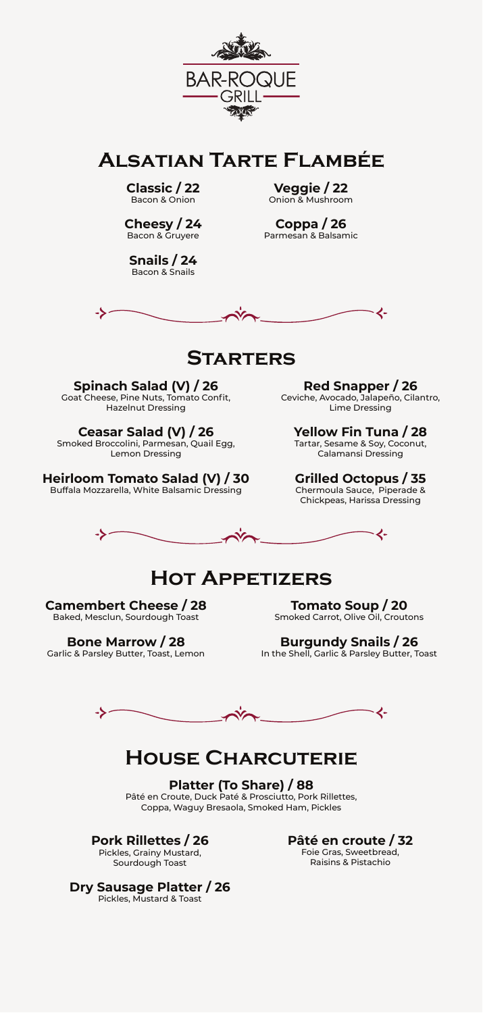

**Alsatian Tarte Flambée**

**Classic / 22** Bacon & Onion

**Cheesy / 24** Bacon & Gruyere

**Snails / 24** Bacon & Snails

**Veggie / 22** Onion & Mushroom

**Coppa / 26** Parmesan & Balsamic



### **Starters**

**Spinach Salad (V) / 26**<br>Goat Cheese, Pine Nuts, Tomato Confit,<br>Hazelnut Dressing

**Ceasar Salad (V) / 26** Smoked Broccolini, Parmesan, Quail Egg, Lemon Dressing

**Heirloom Tomato Salad (V) / 30** Buffala Mozzarella, White Balsamic Dressing

**Red Snapper / 26** Ceviche, Avocado, Jalapeño, Cilantro, Lime Dressing

**Yellow Fin Tuna / 28**<br>Tartar, Sesame & Soy, Coconut,<br>Calamansi Dressing

**Grilled Octopus / 35** Chermoula Sauce, Piperade & Chickpeas, Harissa Dressing



# **Hot Appetizers**

**Camembert Cheese / 28** Baked, Mesclun, Sourdough Toast

**Bone Marrow / 28** Garlic & Parsley Butter, Toast, Lemon

**Tomato Soup / 20** Smoked Carrot, Olive Oil, Croutons

**Burgundy Snails / 26** In the Shell, Garlic & Parsley Butter, Toast

- く-->-

# **House Charcuterie**

**Platter (To Share) / 88** Pâté en Croute, Duck Paté & Prosciutto, Pork Rillettes, Coppa, Waguy Bresaola, Smoked Ham, Pickles

**Pork Rillettes / 26**

Pickles, Grainy Mustard, Sourdough Toast

**Pâté en croute / 32** Foie Gras, Sweetbread, Raisins & Pistachio

**Dry Sausage Platter / 26** Pickles, Mustard & Toast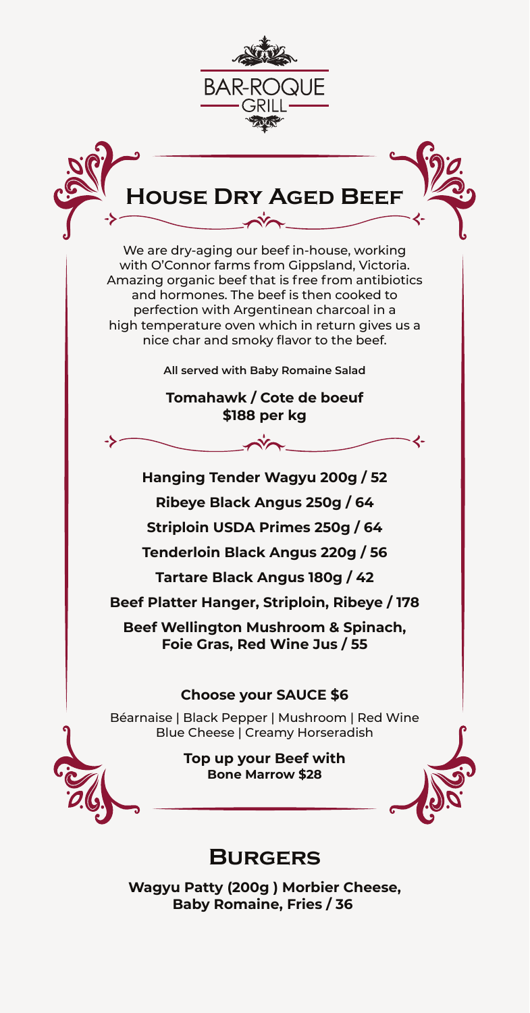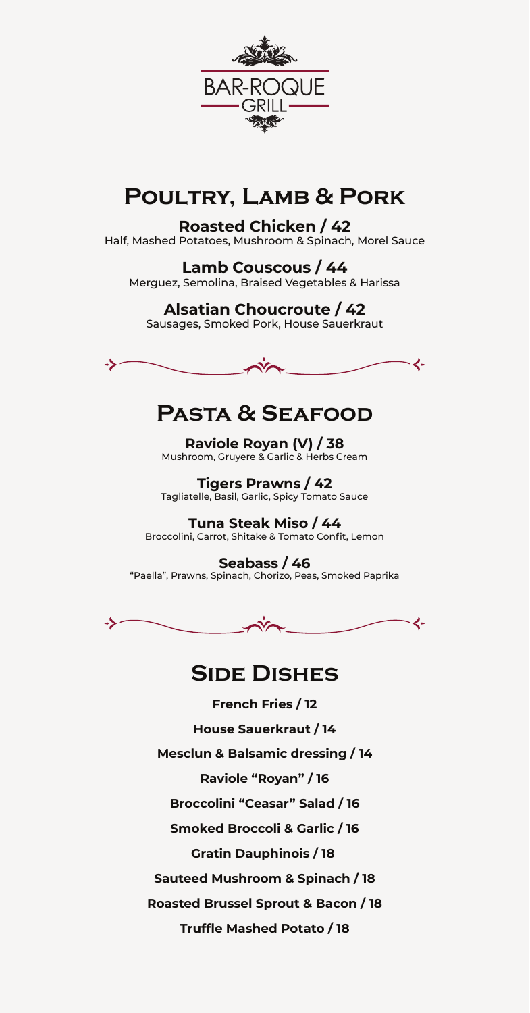

# **Poultry, Lamb & Pork**

### **Roasted Chicken / 42**

Half, Mashed Potatoes, Mushroom & Spinach, Morel Sauce

**Lamb Couscous / 44** Merguez, Semolina, Braised Vegetables & Harissa

### **Alsatian Choucroute / 42**

Sausages, Smoked Pork, House Sauerkraut



# **Pasta & Seafood**

**Raviole Royan (V) / 38** Mushroom, Gruyere & Garlic & Herbs Cream

**Tigers Prawns / 42** Tagliatelle, Basil, Garlic, Spicy Tomato Sauce

**Tuna Steak Miso / 44** Broccolini, Carrot, Shitake & Tomato Confit, Lemon

**Seabass / 46** "Paella", Prawns, Spinach, Chorizo, Peas, Smoked Paprika



### **Side Dishes**

**French Fries / 12 House Sauerkraut / 14 Mesclun & Balsamic dressing / 14 Raviole "Royan" / 16 Broccolini "Ceasar" Salad / 16 Smoked Broccoli & Garlic / 16 Gratin Dauphinois / 18 Sauteed Mushroom & Spinach / 18 Roasted Brussel Sprout & Bacon / 18 Truffle Mashed Potato / 18**